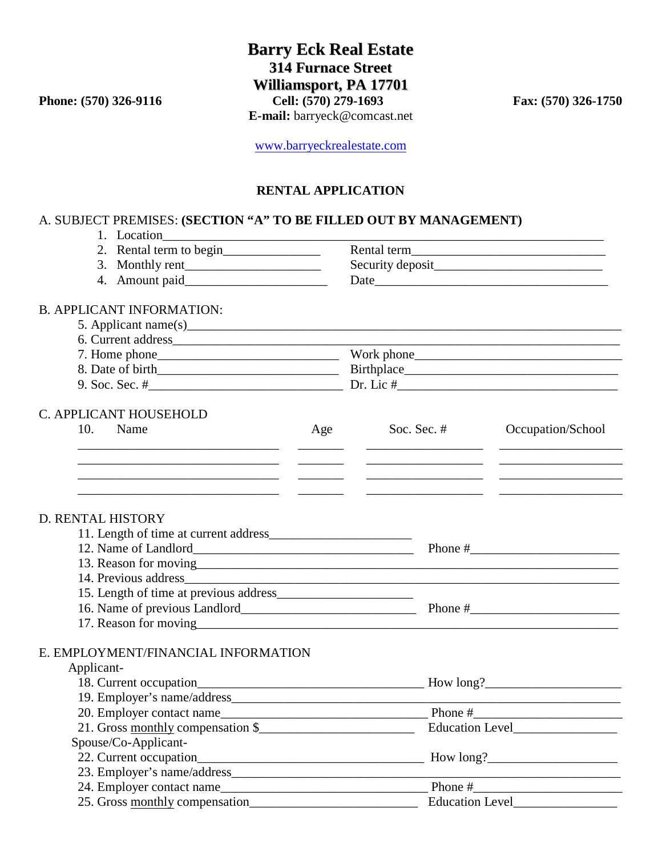**Barry Eck Real Estate 314 Furnace Street Williamsport, PA 17701 Phone: (570) 326-9116** Cell: (570) 279-1693 Fax: (570) 326-1750 **E-mail:** barryeck@comcast.net

[www.barryeckrealestate.com](http://www.barryeckrealestate.com/)

## **RENTAL APPLICATION**

## A. SUBJECT PREMISES: **(SECTION "A" TO BE FILLED OUT BY MANAGEMENT)**

| 1. Location                                                                                                           |                                   |                                  |                   |  |                                  |  |  |  |
|-----------------------------------------------------------------------------------------------------------------------|-----------------------------------|----------------------------------|-------------------|--|----------------------------------|--|--|--|
| 2. Rental term to begin<br>3. Monthly rent                                                                            |                                   |                                  |                   |  |                                  |  |  |  |
|                                                                                                                       |                                   |                                  |                   |  | <b>B. APPLICANT INFORMATION:</b> |  |  |  |
|                                                                                                                       |                                   |                                  |                   |  |                                  |  |  |  |
|                                                                                                                       |                                   |                                  |                   |  |                                  |  |  |  |
|                                                                                                                       |                                   |                                  |                   |  |                                  |  |  |  |
|                                                                                                                       |                                   |                                  |                   |  |                                  |  |  |  |
| C. APPLICANT HOUSEHOLD                                                                                                |                                   |                                  |                   |  |                                  |  |  |  |
| 10.<br>Name                                                                                                           | Age                               | Soc. Sec. $#$                    | Occupation/School |  |                                  |  |  |  |
|                                                                                                                       | <u>and the state of the state</u> |                                  |                   |  |                                  |  |  |  |
|                                                                                                                       | $\frac{1}{2}$                     |                                  |                   |  |                                  |  |  |  |
| <u> 1989 - Johann Harry Harry Harry Harry Harry Harry Harry Harry Harry Harry Harry Harry Harry Harry Harry Harry</u> |                                   |                                  |                   |  |                                  |  |  |  |
| D. RENTAL HISTORY                                                                                                     |                                   |                                  |                   |  |                                  |  |  |  |
|                                                                                                                       |                                   |                                  |                   |  |                                  |  |  |  |
|                                                                                                                       |                                   |                                  |                   |  |                                  |  |  |  |
|                                                                                                                       |                                   |                                  |                   |  |                                  |  |  |  |
|                                                                                                                       |                                   |                                  |                   |  |                                  |  |  |  |
|                                                                                                                       |                                   |                                  |                   |  |                                  |  |  |  |
|                                                                                                                       |                                   |                                  |                   |  |                                  |  |  |  |
|                                                                                                                       |                                   |                                  |                   |  |                                  |  |  |  |
| E. EMPLOYMENT/FINANCIAL INFORMATION                                                                                   |                                   |                                  |                   |  |                                  |  |  |  |
| Applicant-                                                                                                            |                                   |                                  |                   |  |                                  |  |  |  |
|                                                                                                                       |                                   |                                  |                   |  |                                  |  |  |  |
|                                                                                                                       |                                   |                                  |                   |  |                                  |  |  |  |
|                                                                                                                       |                                   | Phone $#$                        |                   |  |                                  |  |  |  |
| 20. Employer contact name<br>21. Gross <u>monthly</u> compensation \$                                                 |                                   | Education Level_________________ |                   |  |                                  |  |  |  |
| Spouse/Co-Applicant-                                                                                                  |                                   |                                  |                   |  |                                  |  |  |  |
|                                                                                                                       |                                   |                                  |                   |  |                                  |  |  |  |
|                                                                                                                       |                                   |                                  |                   |  |                                  |  |  |  |
|                                                                                                                       |                                   |                                  |                   |  |                                  |  |  |  |
| 25. Gross monthly compensation                                                                                        |                                   | Education Level________________  |                   |  |                                  |  |  |  |
|                                                                                                                       |                                   |                                  |                   |  |                                  |  |  |  |